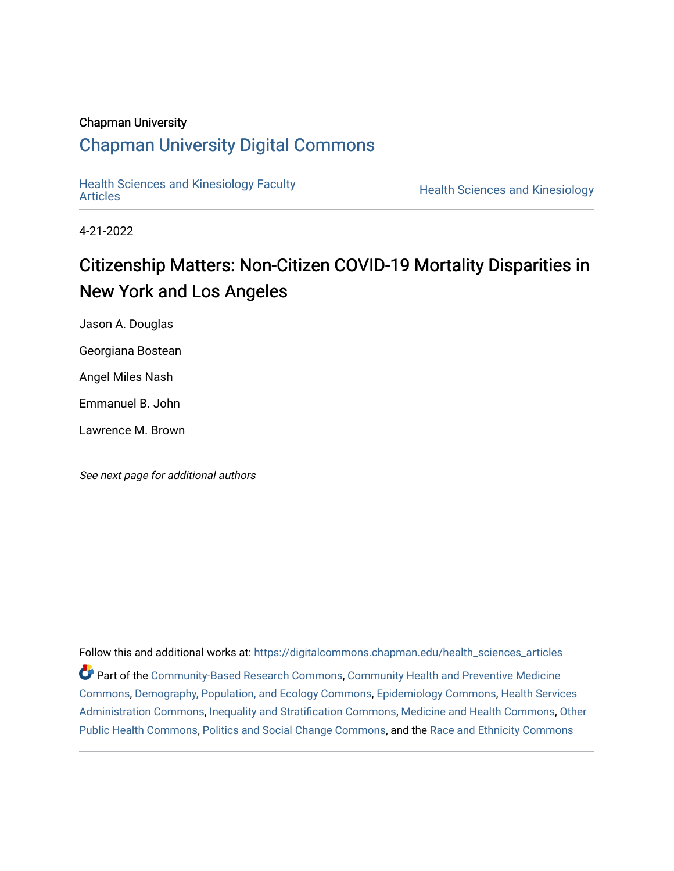## Chapman University

## [Chapman University Digital Commons](https://digitalcommons.chapman.edu/)

[Health Sciences and Kinesiology Faculty](https://digitalcommons.chapman.edu/health_sciences_articles) 

**Health Sciences and Kinesiology** 

4-21-2022

# Citizenship Matters: Non-Citizen COVID-19 Mortality Disparities in New York and Los Angeles

Jason A. Douglas

Georgiana Bostean

Angel Miles Nash

Emmanuel B. John

Lawrence M. Brown

See next page for additional authors

Follow this and additional works at: [https://digitalcommons.chapman.edu/health\\_sciences\\_articles](https://digitalcommons.chapman.edu/health_sciences_articles?utm_source=digitalcommons.chapman.edu%2Fhealth_sciences_articles%2F26&utm_medium=PDF&utm_campaign=PDFCoverPages) Part of the [Community-Based Research Commons](https://network.bepress.com/hgg/discipline/1047?utm_source=digitalcommons.chapman.edu%2Fhealth_sciences_articles%2F26&utm_medium=PDF&utm_campaign=PDFCoverPages), [Community Health and Preventive Medicine](https://network.bepress.com/hgg/discipline/744?utm_source=digitalcommons.chapman.edu%2Fhealth_sciences_articles%2F26&utm_medium=PDF&utm_campaign=PDFCoverPages) [Commons](https://network.bepress.com/hgg/discipline/744?utm_source=digitalcommons.chapman.edu%2Fhealth_sciences_articles%2F26&utm_medium=PDF&utm_campaign=PDFCoverPages), [Demography, Population, and Ecology Commons,](https://network.bepress.com/hgg/discipline/418?utm_source=digitalcommons.chapman.edu%2Fhealth_sciences_articles%2F26&utm_medium=PDF&utm_campaign=PDFCoverPages) [Epidemiology Commons,](https://network.bepress.com/hgg/discipline/740?utm_source=digitalcommons.chapman.edu%2Fhealth_sciences_articles%2F26&utm_medium=PDF&utm_campaign=PDFCoverPages) [Health Services](https://network.bepress.com/hgg/discipline/747?utm_source=digitalcommons.chapman.edu%2Fhealth_sciences_articles%2F26&utm_medium=PDF&utm_campaign=PDFCoverPages)  [Administration Commons,](https://network.bepress.com/hgg/discipline/747?utm_source=digitalcommons.chapman.edu%2Fhealth_sciences_articles%2F26&utm_medium=PDF&utm_campaign=PDFCoverPages) [Inequality and Stratification Commons](https://network.bepress.com/hgg/discipline/421?utm_source=digitalcommons.chapman.edu%2Fhealth_sciences_articles%2F26&utm_medium=PDF&utm_campaign=PDFCoverPages), [Medicine and Health Commons](https://network.bepress.com/hgg/discipline/422?utm_source=digitalcommons.chapman.edu%2Fhealth_sciences_articles%2F26&utm_medium=PDF&utm_campaign=PDFCoverPages), [Other](https://network.bepress.com/hgg/discipline/748?utm_source=digitalcommons.chapman.edu%2Fhealth_sciences_articles%2F26&utm_medium=PDF&utm_campaign=PDFCoverPages) [Public Health Commons,](https://network.bepress.com/hgg/discipline/748?utm_source=digitalcommons.chapman.edu%2Fhealth_sciences_articles%2F26&utm_medium=PDF&utm_campaign=PDFCoverPages) [Politics and Social Change Commons,](https://network.bepress.com/hgg/discipline/425?utm_source=digitalcommons.chapman.edu%2Fhealth_sciences_articles%2F26&utm_medium=PDF&utm_campaign=PDFCoverPages) and the [Race and Ethnicity Commons](https://network.bepress.com/hgg/discipline/426?utm_source=digitalcommons.chapman.edu%2Fhealth_sciences_articles%2F26&utm_medium=PDF&utm_campaign=PDFCoverPages)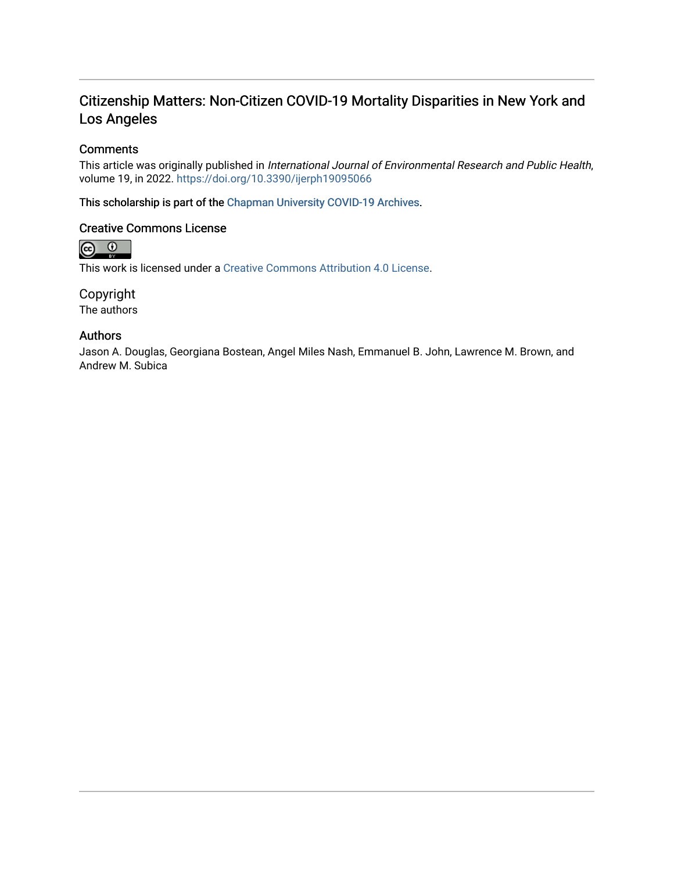## Citizenship Matters: Non-Citizen COVID-19 Mortality Disparities in New York and Los Angeles

## **Comments**

This article was originally published in International Journal of Environmental Research and Public Health, volume 19, in 2022. <https://doi.org/10.3390/ijerph19095066>

This scholarship is part of the [Chapman University COVID-19 Archives](https://digitalcommons.chapman.edu/covid-19_archives/).

### Creative Commons License



This work is licensed under a [Creative Commons Attribution 4.0 License](https://creativecommons.org/licenses/by/4.0/).

Copyright

The authors

## Authors

Jason A. Douglas, Georgiana Bostean, Angel Miles Nash, Emmanuel B. John, Lawrence M. Brown, and Andrew M. Subica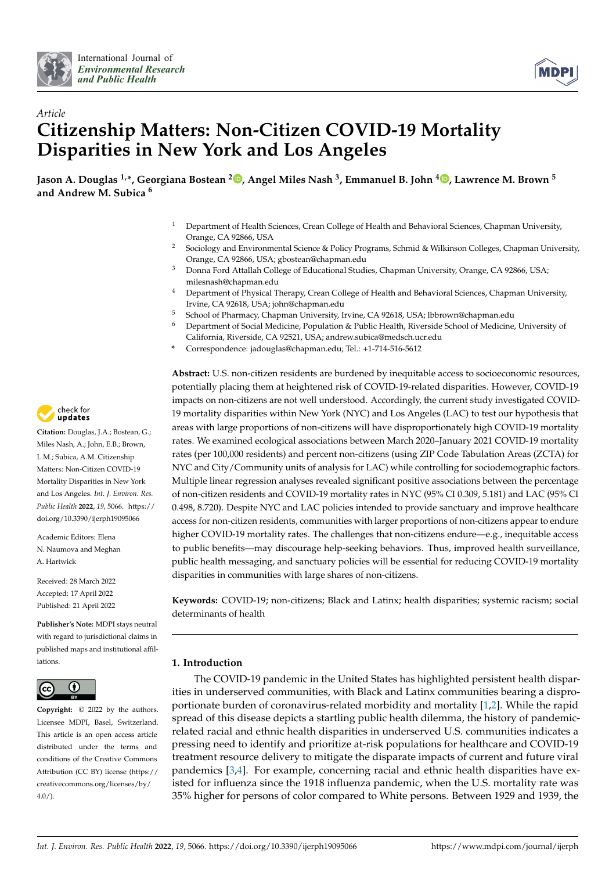



## *Article* **Citizenship Matters: Non-Citizen COVID-19 Mortality Disparities in New York and Los Angeles**

**Jason A. Douglas 1,\*, Georgiana Bostean <sup>2</sup> [,](https://orcid.org/0000-0002-2322-2082) Angel Miles Nash <sup>3</sup> , Emmanuel B. John <sup>4</sup> [,](https://orcid.org/0000-0002-6476-6836) Lawrence M. Brown <sup>5</sup> and Andrew M. Subica <sup>6</sup>**

- <sup>1</sup> Department of Health Sciences, Crean College of Health and Behavioral Sciences, Chapman University, Orange, CA 92866, USA
- <sup>2</sup> Sociology and Environmental Science & Policy Programs, Schmid & Wilkinson Colleges, Chapman University, Orange, CA 92866, USA; gbostean@chapman.edu
- <sup>3</sup> Donna Ford Attallah College of Educational Studies, Chapman University, Orange, CA 92866, USA; milesnash@chapman.edu
- <sup>4</sup> Department of Physical Therapy, Crean College of Health and Behavioral Sciences, Chapman University, Irvine, CA 92618, USA; john@chapman.edu
- <sup>5</sup> School of Pharmacy, Chapman University, Irvine, CA 92618, USA; lbbrown@chapman.edu<br><sup>6</sup> Department of Social Modicine, Population & Public Health, Biverside School of Modicine
- <sup>6</sup> Department of Social Medicine, Population & Public Health, Riverside School of Medicine, University of California, Riverside, CA 92521, USA; andrew.subica@medsch.ucr.edu
- **\*** Correspondence: jadouglas@chapman.edu; Tel.: +1-714-516-5612

**Abstract:** U.S. non-citizen residents are burdened by inequitable access to socioeconomic resources, potentially placing them at heightened risk of COVID-19-related disparities. However, COVID-19 impacts on non-citizens are not well understood. Accordingly, the current study investigated COVID-19 mortality disparities within New York (NYC) and Los Angeles (LAC) to test our hypothesis that areas with large proportions of non-citizens will have disproportionately high COVID-19 mortality rates. We examined ecological associations between March 2020–January 2021 COVID-19 mortality rates (per 100,000 residents) and percent non-citizens (using ZIP Code Tabulation Areas (ZCTA) for NYC and City/Community units of analysis for LAC) while controlling for sociodemographic factors. Multiple linear regression analyses revealed significant positive associations between the percentage of non-citizen residents and COVID-19 mortality rates in NYC (95% CI 0.309, 5.181) and LAC (95% CI 0.498, 8.720). Despite NYC and LAC policies intended to provide sanctuary and improve healthcare access for non-citizen residents, communities with larger proportions of non-citizens appear to endure higher COVID-19 mortality rates. The challenges that non-citizens endure—e.g., inequitable access to public benefits—may discourage help-seeking behaviors. Thus, improved health surveillance, public health messaging, and sanctuary policies will be essential for reducing COVID-19 mortality disparities in communities with large shares of non-citizens.

**Keywords:** COVID-19; non-citizens; Black and Latinx; health disparities; systemic racism; social determinants of health

### **1. Introduction**

The COVID-19 pandemic in the United States has highlighted persistent health disparities in underserved communities, with Black and Latinx communities bearing a disproportionate burden of coronavirus-related morbidity and mortality [\[1](#page-11-0)[,2\]](#page-11-1). While the rapid spread of this disease depicts a startling public health dilemma, the history of pandemicrelated racial and ethnic health disparities in underserved U.S. communities indicates a pressing need to identify and prioritize at-risk populations for healthcare and COVID-19 treatment resource delivery to mitigate the disparate impacts of current and future viral pandemics [\[3,](#page-11-2)[4\]](#page-11-3). For example, concerning racial and ethnic health disparities have existed for influenza since the 1918 influenza pandemic, when the U.S. mortality rate was 35% higher for persons of color compared to White persons. Between 1929 and 1939, the



**Citation:** Douglas, J.A.; Bostean, G.; Miles Nash, A.; John, E.B.; Brown, L.M.; Subica, A.M. Citizenship Matters: Non-Citizen COVID-19 Mortality Disparities in New York and Los Angeles. *Int. J. Environ. Res. Public Health* **2022**, *19*, 5066. [https://](https://doi.org/10.3390/ijerph19095066) [doi.org/10.3390/ijerph19095066](https://doi.org/10.3390/ijerph19095066)

Academic Editors: Elena N. Naumova and Meghan A. Hartwick

Received: 28 March 2022 Accepted: 17 April 2022 Published: 21 April 2022

**Publisher's Note:** MDPI stays neutral with regard to jurisdictional claims in published maps and institutional affiliations.



**Copyright:** © 2022 by the authors. Licensee MDPI, Basel, Switzerland. This article is an open access article distributed under the terms and conditions of the Creative Commons Attribution (CC BY) license [\(https://](https://creativecommons.org/licenses/by/4.0/) [creativecommons.org/licenses/by/](https://creativecommons.org/licenses/by/4.0/)  $4.0/$ ).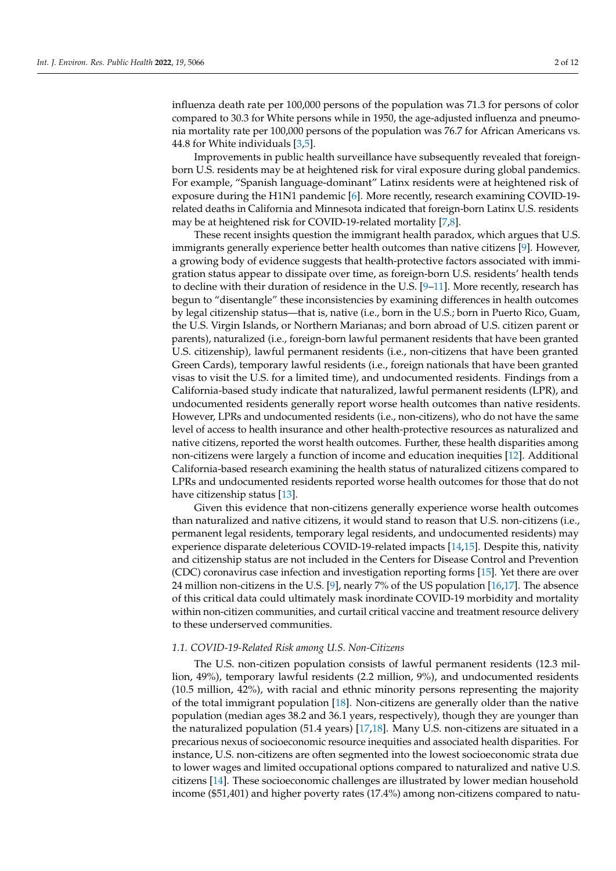influenza death rate per 100,000 persons of the population was 71.3 for persons of color compared to 30.3 for White persons while in 1950, the age-adjusted influenza and pneumonia mortality rate per 100,000 persons of the population was 76.7 for African Americans vs. 44.8 for White individuals [\[3](#page-11-2)[,5\]](#page-11-4).

Improvements in public health surveillance have subsequently revealed that foreignborn U.S. residents may be at heightened risk for viral exposure during global pandemics. For example, "Spanish language-dominant" Latinx residents were at heightened risk of exposure during the H1N1 pandemic [\[6\]](#page-11-5). More recently, research examining COVID-19 related deaths in California and Minnesota indicated that foreign-born Latinx U.S. residents may be at heightened risk for COVID-19-related mortality [\[7](#page-11-6)[,8\]](#page-11-7).

These recent insights question the immigrant health paradox, which argues that U.S. immigrants generally experience better health outcomes than native citizens [\[9\]](#page-12-0). However, a growing body of evidence suggests that health-protective factors associated with immigration status appear to dissipate over time, as foreign-born U.S. residents' health tends to decline with their duration of residence in the U.S. [\[9](#page-12-0)[–11\]](#page-12-1). More recently, research has begun to "disentangle" these inconsistencies by examining differences in health outcomes by legal citizenship status—that is, native (i.e., born in the U.S.; born in Puerto Rico, Guam, the U.S. Virgin Islands, or Northern Marianas; and born abroad of U.S. citizen parent or parents), naturalized (i.e., foreign-born lawful permanent residents that have been granted U.S. citizenship), lawful permanent residents (i.e., non-citizens that have been granted Green Cards), temporary lawful residents (i.e., foreign nationals that have been granted visas to visit the U.S. for a limited time), and undocumented residents. Findings from a California-based study indicate that naturalized, lawful permanent residents (LPR), and undocumented residents generally report worse health outcomes than native residents. However, LPRs and undocumented residents (i.e., non-citizens), who do not have the same level of access to health insurance and other health-protective resources as naturalized and native citizens, reported the worst health outcomes. Further, these health disparities among non-citizens were largely a function of income and education inequities [\[12\]](#page-12-2). Additional California-based research examining the health status of naturalized citizens compared to LPRs and undocumented residents reported worse health outcomes for those that do not have citizenship status [\[13\]](#page-12-3).

Given this evidence that non-citizens generally experience worse health outcomes than naturalized and native citizens, it would stand to reason that U.S. non-citizens (i.e., permanent legal residents, temporary legal residents, and undocumented residents) may experience disparate deleterious COVID-19-related impacts [\[14,](#page-12-4)[15\]](#page-12-5). Despite this, nativity and citizenship status are not included in the Centers for Disease Control and Prevention (CDC) coronavirus case infection and investigation reporting forms [\[15\]](#page-12-5). Yet there are over 24 million non-citizens in the U.S. [\[9\]](#page-12-0), nearly 7% of the US population [\[16,](#page-12-6)[17\]](#page-12-7). The absence of this critical data could ultimately mask inordinate COVID-19 morbidity and mortality within non-citizen communities, and curtail critical vaccine and treatment resource delivery to these underserved communities.

#### *1.1. COVID-19-Related Risk among U.S. Non-Citizens*

The U.S. non-citizen population consists of lawful permanent residents (12.3 million, 49%), temporary lawful residents (2.2 million, 9%), and undocumented residents (10.5 million, 42%), with racial and ethnic minority persons representing the majority of the total immigrant population [\[18\]](#page-12-8). Non-citizens are generally older than the native population (median ages 38.2 and 36.1 years, respectively), though they are younger than the naturalized population (51.4 years) [\[17](#page-12-7)[,18\]](#page-12-8). Many U.S. non-citizens are situated in a precarious nexus of socioeconomic resource inequities and associated health disparities. For instance, U.S. non-citizens are often segmented into the lowest socioeconomic strata due to lower wages and limited occupational options compared to naturalized and native U.S. citizens [\[14\]](#page-12-4). These socioeconomic challenges are illustrated by lower median household income (\$51,401) and higher poverty rates (17.4%) among non-citizens compared to natu-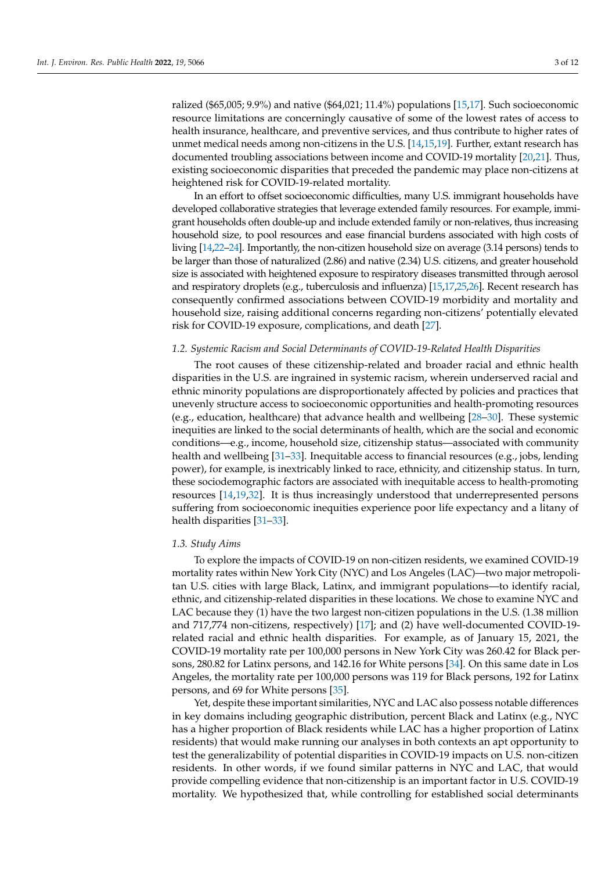ralized (\$65,005; 9.9%) and native (\$64,021; 11.4%) populations [\[15](#page-12-5)[,17\]](#page-12-7). Such socioeconomic resource limitations are concerningly causative of some of the lowest rates of access to health insurance, healthcare, and preventive services, and thus contribute to higher rates of unmet medical needs among non-citizens in the U.S. [\[14](#page-12-4)[,15](#page-12-5)[,19\]](#page-12-9). Further, extant research has documented troubling associations between income and COVID-19 mortality [\[20,](#page-12-10)[21\]](#page-12-11). Thus, existing socioeconomic disparities that preceded the pandemic may place non-citizens at heightened risk for COVID-19-related mortality.

In an effort to offset socioeconomic difficulties, many U.S. immigrant households have developed collaborative strategies that leverage extended family resources. For example, immigrant households often double-up and include extended family or non-relatives, thus increasing household size, to pool resources and ease financial burdens associated with high costs of living [\[14](#page-12-4)[,22](#page-12-12)[–24\]](#page-12-13). Importantly, the non-citizen household size on average (3.14 persons) tends to be larger than those of naturalized (2.86) and native (2.34) U.S. citizens, and greater household size is associated with heightened exposure to respiratory diseases transmitted through aerosol and respiratory droplets (e.g., tuberculosis and influenza) [\[15,](#page-12-5)[17,](#page-12-7)[25](#page-12-14)[,26\]](#page-12-15). Recent research has consequently confirmed associations between COVID-19 morbidity and mortality and household size, raising additional concerns regarding non-citizens' potentially elevated risk for COVID-19 exposure, complications, and death [\[27\]](#page-12-16).

#### *1.2. Systemic Racism and Social Determinants of COVID-19-Related Health Disparities*

The root causes of these citizenship-related and broader racial and ethnic health disparities in the U.S. are ingrained in systemic racism, wherein underserved racial and ethnic minority populations are disproportionately affected by policies and practices that unevenly structure access to socioeconomic opportunities and health-promoting resources (e.g., education, healthcare) that advance health and wellbeing [\[28–](#page-12-17)[30\]](#page-12-18). These systemic inequities are linked to the social determinants of health, which are the social and economic conditions—e.g., income, household size, citizenship status—associated with community health and wellbeing [\[31–](#page-12-19)[33\]](#page-12-20). Inequitable access to financial resources (e.g., jobs, lending power), for example, is inextricably linked to race, ethnicity, and citizenship status. In turn, these sociodemographic factors are associated with inequitable access to health-promoting resources [\[14](#page-12-4)[,19](#page-12-9)[,32\]](#page-12-21). It is thus increasingly understood that underrepresented persons suffering from socioeconomic inequities experience poor life expectancy and a litany of health disparities [\[31](#page-12-19)[–33\]](#page-12-20).

#### *1.3. Study Aims*

To explore the impacts of COVID-19 on non-citizen residents, we examined COVID-19 mortality rates within New York City (NYC) and Los Angeles (LAC)—two major metropolitan U.S. cities with large Black, Latinx, and immigrant populations—to identify racial, ethnic, and citizenship-related disparities in these locations. We chose to examine NYC and LAC because they (1) have the two largest non-citizen populations in the U.S. (1.38 million and 717,774 non-citizens, respectively) [\[17\]](#page-12-7); and (2) have well-documented COVID-19 related racial and ethnic health disparities. For example, as of January 15, 2021, the COVID-19 mortality rate per 100,000 persons in New York City was 260.42 for Black persons, 280.82 for Latinx persons, and 142.16 for White persons [\[34\]](#page-12-22). On this same date in Los Angeles, the mortality rate per 100,000 persons was 119 for Black persons, 192 for Latinx persons, and 69 for White persons [\[35\]](#page-12-23).

Yet, despite these important similarities, NYC and LAC also possess notable differences in key domains including geographic distribution, percent Black and Latinx (e.g., NYC has a higher proportion of Black residents while LAC has a higher proportion of Latinx residents) that would make running our analyses in both contexts an apt opportunity to test the generalizability of potential disparities in COVID-19 impacts on U.S. non-citizen residents. In other words, if we found similar patterns in NYC and LAC, that would provide compelling evidence that non-citizenship is an important factor in U.S. COVID-19 mortality. We hypothesized that, while controlling for established social determinants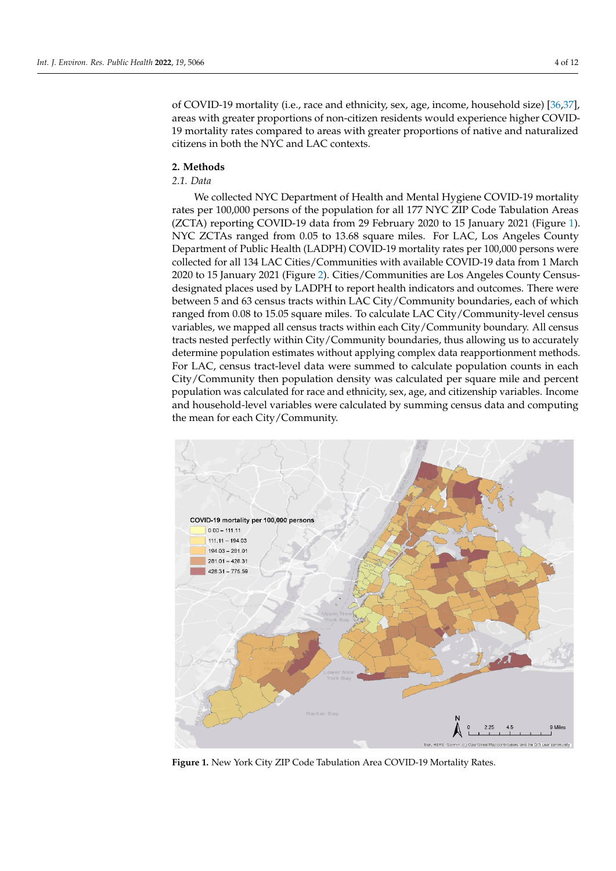of COVID-19 mortality (i.e., race and ethnicity, sex, age, income, household size) [\[36,](#page-12-24)[37\]](#page-13-0), areas with greater proportions of non-citizen residents would experience higher COVIDareas with greater proportions of non-enflaton residents would experience higher COVID-<br>19 mortality rates compared to areas with greater proportions of native and naturalized 19 mortually rates compared to areas with greater predictions in both the NYC and LAC contexts.  $\frac{1}{36}$  are as with greater proportions of non-citizen residents would experience higher  $[O(370)$ 

## **2. Methods 2. Methods**

### *2.1. Data 2.1. Data*

We collected NYC Department of Health and Mental Hygiene COVID-19 mortality We collected NYC Department of Health and Mental Hygiene COVID-19 mortality rates per 100,000 persons of the population for all 177 NYC ZIP Code Tabulation Areas rates per 100,000 persons of the population for all 177 NYC ZIP Code Tabulation Areas (ZCTA) reporting COVID-19 data from 29 February 2020 to 15 January 2021 (Figure 1). (ZCTA) reporting COVID-19 data from 29 February 2020 to 15 January 2021 (Figure [1](#page-5-0)). NYC ZCTAs ranged from 0.05 to 13.68 square miles. For LAC, Los Angeles County Department of Public Health (LADPH) COVID-19 mortality rates per 100,000 persons were partment of Public Health (LADPH) COVID-19 mortality rates per 100,000 persons were collected for all 134 LAC Cities/Communities with available COVID-19 data from 1 March collected for all 134 LAC Cities/Communities with available COVID-19 data from 1 March 2020 to 15 January 2021 (Figure 2). Cities/Communities are Los Angeles County Census-2020 to 15 January 2021 (Figur[e 2](#page-6-0)). Cities/Communities are Los Angeles County Censusdesignated places used by LADPH to report health indicators and outcomes. There were designated places used by LADPH to report health indicators and outcomes. There were between 5 and 63 census tracts within LAC City/Community boundaries, each of which between 5 and 63 census tracts within LAC City/Community boundaries, each of which ranged from 0.08 to 15.05 square miles. To calculate LAC City/Community-level census ranged from 0.08 to 15.05 square miles. To calculate LAC City/Community-level census variables, we mapped all census tracts within each City/Community boundary. All census variables, we mapped all census tracts within each City/Community boundary. All census tracts nested perfectly within City/Community boundaries, thus allowing us to accurately tracts nested perfectly within City/Community boundaries, thus allowing us to accurately determine population estimates without applying complex data reapportionment methods. For LAC, census tract-level data were summed to calculate population counts in each City/Community then population density was calculated per square mile and percent City/Community then population density was calculated per square mile and percent population was calculated for race and ethnicity, sex, age, and citizenship variables. Income and household-level variables were calculated by summing census data and computing the mean for each City/Community.

<span id="page-5-0"></span>

**Figure 1. Figure 1***.* New York City ZIP Code Tabulation Area COVID-19 Mortality Rates. New York City ZIP Code Tabulation Area COVID-19 Mortality Rates*.*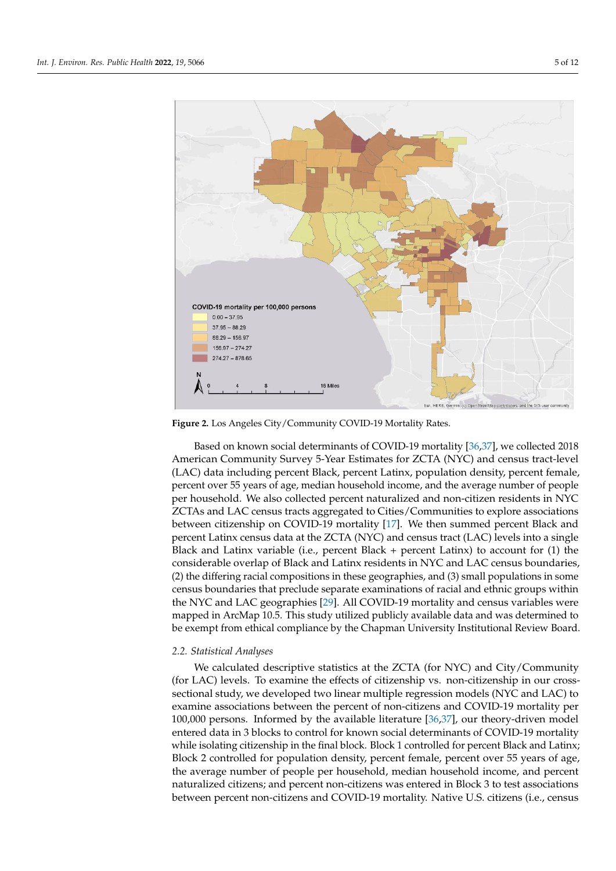<span id="page-6-0"></span>

**Figure 2***.* Los Angeles City/Community COVID-19 Mortality Rates*.* **Figure 2.** Los Angeles City/Community COVID-19 Mortality Rates.

Based on known social determinants of COVID-19 mortality [36,37], we collected Based on known social determinants of COVID-19 mortality [\[36](#page-12-24)[,37\]](#page-13-0), we collected 2018 2018 American Community Survey 5-Year Estimates for ZCTA (NYC) and census tract-American Community Survey 5-Year Estimates for ZCTA (NYC) and census tract-level (LAC) data including percent Black, percent Latinx, population density, percent female, percent over 55 years of age, median household income, and the average number of people per household. We also collected percent naturalized and non-citizen residents in NYC ZCTAs and LAC census tracts aggregated to Cities/Communities to explore associations ations between citizenship on COVID-19 mortality [17]. We then summed percent Black between citizenship on COVID-19 mortality [\[17\]](#page-12-7). We then summed percent Black and and percent Latinx census data at the ZCTA (NYC) and census tract (LAC) levels into a percent Latinx census data at the ZCTA (NYC) and census tract (LAC) levels into a single single Black and Latinx variable (i.e., percent Black + percent Latinx) to account for (1) the Black and Latinx variable (i.e., percent Black + percent Latinx) to account for (1) the considerable overlap of Black and Latinx residents in NYC and LAC census boundaries, considerable overlap of Black and Latinx residents in NYC and LAC census boundaries, (2) the differing racial compositions in these geographies, and (3) small populations in (2) the differing racial compositions in these geographies, and (3) small populations in some census boundaries that preclude separate examinations of racial and ethnic groups within the NYC and LAC geographies [\[29\]](#page-12-25). All COVID-19 mortality and census variables were mapped in ArcMap 10.5. This study utilized publicly available data and was determined to<br>. be exempt from ethical compliance by the Chapman University Institutional Review Board.<br>.

## 2.2. Statistical Analyses

We calculated descriptive statistics at the ZCTA (for NYC) and City/Community sectional study, we developed two linear multiple regression models (NYC and LAC) to examine associations between the percent of non-citizens and COVID-19 mortality per 100,000 persons. Informed by the available literature [\[36,](#page-12-24)[37\]](#page-13-0), our theory-driven model entered data in 3 blocks to control for known social determinants of COVID-19 mortality while isolating citizenship in the final block. Block 1 controlled for percent Black and Latinx; Block 2 controlled for population density, percent female, percent over 55 years of age, the average number of people per household, median household income, and percent naturalized citizens; and percent non-citizens was entered in Block 3 to test associations between percent non-citizens and COVID-19 mortality. Native U.S. citizens (i.e., census (for LAC) levels. To examine the effects of citizenship vs. non-citizenship in our cross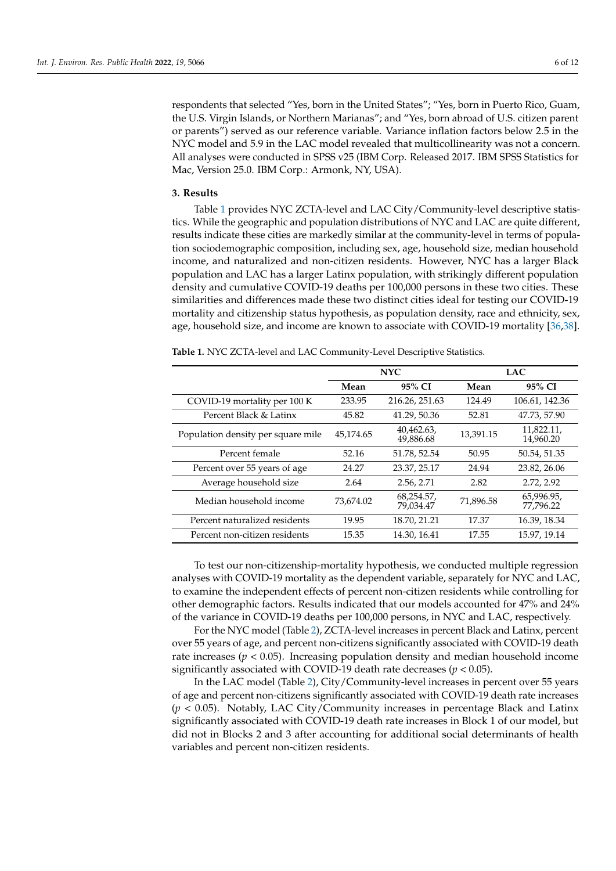respondents that selected "Yes, born in the United States"; "Yes, born in Puerto Rico, Guam, the U.S. Virgin Islands, or Northern Marianas"; and "Yes, born abroad of U.S. citizen parent or parents") served as our reference variable. Variance inflation factors below 2.5 in the NYC model and 5.9 in the LAC model revealed that multicollinearity was not a concern. All analyses were conducted in SPSS v25 (IBM Corp. Released 2017. IBM SPSS Statistics for Mac, Version 25.0. IBM Corp.: Armonk, NY, USA).

#### **3. Results**

Table [1](#page-7-0) provides NYC ZCTA-level and LAC City/Community-level descriptive statistics. While the geographic and population distributions of NYC and LAC are quite different, results indicate these cities are markedly similar at the community-level in terms of population sociodemographic composition, including sex, age, household size, median household income, and naturalized and non-citizen residents. However, NYC has a larger Black population and LAC has a larger Latinx population, with strikingly different population density and cumulative COVID-19 deaths per 100,000 persons in these two cities. These similarities and differences made these two distinct cities ideal for testing our COVID-19 mortality and citizenship status hypothesis, as population density, race and ethnicity, sex, age, household size, and income are known to associate with COVID-19 mortality [\[36,](#page-12-24)[38\]](#page-13-1).

|                                    |           | <b>NYC</b>              | <b>LAC</b> |                         |  |
|------------------------------------|-----------|-------------------------|------------|-------------------------|--|
|                                    | Mean      | 95% CI                  | Mean       | 95% CI                  |  |
| COVID-19 mortality per 100 K       | 233.95    | 216.26, 251.63          | 124.49     | 106.61, 142.36          |  |
| Percent Black & Latinx             | 45.82     | 41.29, 50.36            | 52.81      | 47.73, 57.90            |  |
| Population density per square mile | 45,174.65 | 40,462.63,<br>49,886.68 | 13,391.15  | 11,822.11,<br>14,960.20 |  |
| Percent female                     | 52.16     | 51.78, 52.54            | 50.95      | 50.54, 51.35            |  |
| Percent over 55 years of age       | 24.27     | 23.37, 25.17            | 24.94      | 23.82, 26.06            |  |
| Average household size             | 2.64      | 2.56, 2.71              | 2.82       | 2.72, 2.92              |  |
| Median household income            | 73,674.02 | 68,254.57,<br>79,034.47 | 71,896.58  | 65,996.95,<br>77,796.22 |  |
| Percent naturalized residents      | 19.95     | 18.70, 21.21            | 17.37      | 16.39, 18.34            |  |
| Percent non-citizen residents      | 15.35     | 14.30, 16.41            | 17.55      | 15.97, 19.14            |  |

<span id="page-7-0"></span>**Table 1.** NYC ZCTA-level and LAC Community-Level Descriptive Statistics.

To test our non-citizenship-mortality hypothesis, we conducted multiple regression analyses with COVID-19 mortality as the dependent variable, separately for NYC and LAC, to examine the independent effects of percent non-citizen residents while controlling for other demographic factors. Results indicated that our models accounted for 47% and 24% of the variance in COVID-19 deaths per 100,000 persons, in NYC and LAC, respectively.

For the NYC model (Table [2\)](#page-8-0), ZCTA-level increases in percent Black and Latinx, percent over 55 years of age, and percent non-citizens significantly associated with COVID-19 death rate increases ( $p < 0.05$ ). Increasing population density and median household income significantly associated with COVID-19 death rate decreases (*p* < 0.05).

In the LAC model (Table [2\)](#page-8-0), City/Community-level increases in percent over 55 years of age and percent non-citizens significantly associated with COVID-19 death rate increases (*p* < 0.05). Notably, LAC City/Community increases in percentage Black and Latinx significantly associated with COVID-19 death rate increases in Block 1 of our model, but did not in Blocks 2 and 3 after accounting for additional social determinants of health variables and percent non-citizen residents.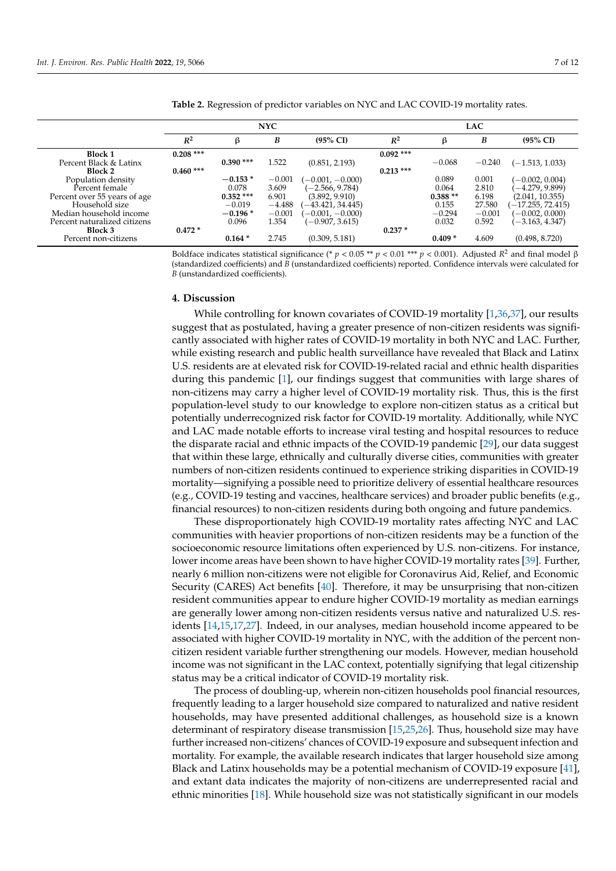|                              | <b>NYC</b>  |             |          | <b>LAC</b>          |             |           |          |                     |
|------------------------------|-------------|-------------|----------|---------------------|-------------|-----------|----------|---------------------|
|                              | $R^2$       | ß           | B        | $(95\% \text{ CI})$ | $R^2$       | ß         | B        | $(95\% \text{ CI})$ |
| <b>Block 1</b>               | $0.208$ *** |             |          |                     | $0.092$ *** |           |          |                     |
| Percent Black & Latinx       |             | $0.390$ *** | 1.522    | (0.851, 2.193)      |             | $-0.068$  | $-0.240$ | $(-1.513, 1.033)$   |
| Block 2                      | $0.460$ *** |             |          |                     | $0.213***$  |           |          |                     |
| Population density           |             | $-0.153*$   | $-0.001$ | $(-0.001, -0.000)$  |             | 0.089     | 0.001    | $(-0.002, 0.004)$   |
| Percent female               |             | 0.078       | 3.609    | $-2.566, 9.784$     |             | 0.064     | 2.810    | $-4.279, 9.899$     |
| Percent over 55 years of age |             | $0.352$ *** | 6.901    | (3.892, 9.910)      |             | $0.388**$ | 6.198    | (2.041, 10.355)     |
| Household size               |             | $-0.019$    | $-4.488$ | $-43.421, 34.445$   |             | 0.155     | 27.580   | $-17.255, 72.415$   |
| Median household income      |             | $-0.196*$   | $-0.001$ | $(-0.001, -0.000)$  |             | $-0.294$  | $-0.001$ | $(-0.002, 0.000)$   |
| Percent naturalized citizens |             | 0.096       | 1.354    | $(-0.907, 3.615)$   |             | 0.032     | 0.592    | $-3.163, 4.347$     |
| Block 3                      | $0.472*$    |             |          |                     | $0.237*$    |           |          |                     |
| Percent non-citizens         |             | $0.164*$    | 2.745    | (0.309, 5.181)      |             | $0.409*$  | 4.609    | (0.498, 8.720)      |

<span id="page-8-0"></span>**Table 2.** Regression of predictor variables on NYC and LAC COVID-19 mortality rates.

Boldface indicates statistical significance (\* *p* < 0.05 \*\* *p* < 0.01 \*\*\* *p* < 0.001). Adjusted *R*<sup>2</sup> and final model β (standardized coefficients) and  $\bar{B}$  (unstandardized coefficients) reported. Confidence intervals were calculated for *B* (unstandardized coefficients).

#### **4. Discussion**

While controlling for known covariates of COVID-19 mortality [\[1](#page-11-0)[,36](#page-12-24)[,37\]](#page-13-0), our results suggest that as postulated, having a greater presence of non-citizen residents was significantly associated with higher rates of COVID-19 mortality in both NYC and LAC. Further, while existing research and public health surveillance have revealed that Black and Latinx U.S. residents are at elevated risk for COVID-19-related racial and ethnic health disparities during this pandemic [\[1\]](#page-11-0), our findings suggest that communities with large shares of non-citizens may carry a higher level of COVID-19 mortality risk. Thus, this is the first population-level study to our knowledge to explore non-citizen status as a critical but potentially underrecognized risk factor for COVID-19 mortality. Additionally, while NYC and LAC made notable efforts to increase viral testing and hospital resources to reduce the disparate racial and ethnic impacts of the COVID-19 pandemic [\[29\]](#page-12-25), our data suggest that within these large, ethnically and culturally diverse cities, communities with greater numbers of non-citizen residents continued to experience striking disparities in COVID-19 mortality—signifying a possible need to prioritize delivery of essential healthcare resources (e.g., COVID-19 testing and vaccines, healthcare services) and broader public benefits (e.g., financial resources) to non-citizen residents during both ongoing and future pandemics.

These disproportionately high COVID-19 mortality rates affecting NYC and LAC communities with heavier proportions of non-citizen residents may be a function of the socioeconomic resource limitations often experienced by U.S. non-citizens. For instance, lower income areas have been shown to have higher COVID-19 mortality rates [\[39\]](#page-13-2). Further, nearly 6 million non-citizens were not eligible for Coronavirus Aid, Relief, and Economic Security (CARES) Act benefits [\[40\]](#page-13-3). Therefore, it may be unsurprising that non-citizen resident communities appear to endure higher COVID-19 mortality as median earnings are generally lower among non-citizen residents versus native and naturalized U.S. residents [\[14,](#page-12-4)[15,](#page-12-5)[17,](#page-12-7)[27\]](#page-12-16). Indeed, in our analyses, median household income appeared to be associated with higher COVID-19 mortality in NYC, with the addition of the percent noncitizen resident variable further strengthening our models. However, median household income was not significant in the LAC context, potentially signifying that legal citizenship status may be a critical indicator of COVID-19 mortality risk.

The process of doubling-up, wherein non-citizen households pool financial resources, frequently leading to a larger household size compared to naturalized and native resident households, may have presented additional challenges, as household size is a known determinant of respiratory disease transmission [\[15,](#page-12-5)[25,](#page-12-14)[26\]](#page-12-15). Thus, household size may have further increased non-citizens' chances of COVID-19 exposure and subsequent infection and mortality. For example, the available research indicates that larger household size among Black and Latinx households may be a potential mechanism of COVID-19 exposure [\[41\]](#page-13-4), and extant data indicates the majority of non-citizens are underrepresented racial and ethnic minorities [\[18\]](#page-12-8). While household size was not statistically significant in our models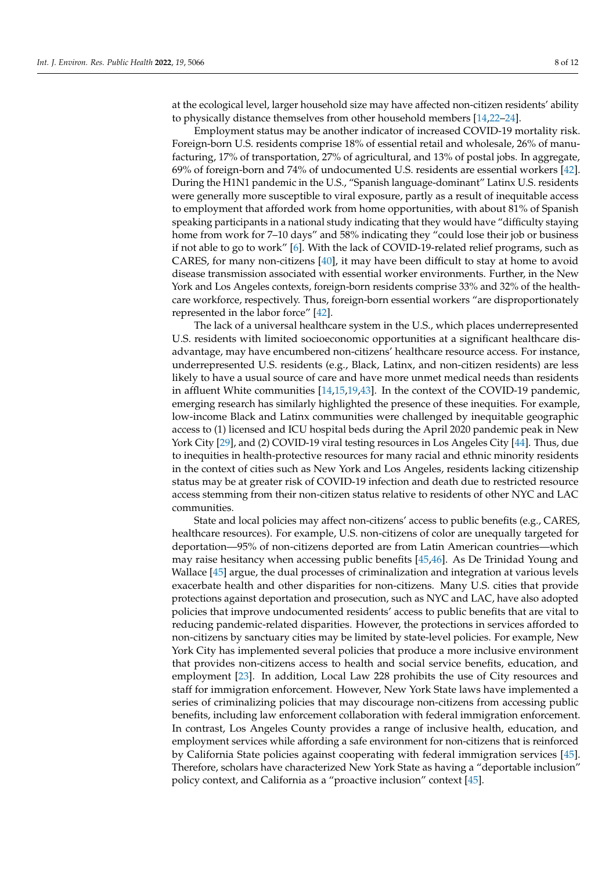at the ecological level, larger household size may have affected non-citizen residents' ability to physically distance themselves from other household members [\[14](#page-12-4)[,22](#page-12-12)[–24\]](#page-12-13).

Employment status may be another indicator of increased COVID-19 mortality risk. Foreign-born U.S. residents comprise 18% of essential retail and wholesale, 26% of manufacturing, 17% of transportation, 27% of agricultural, and 13% of postal jobs. In aggregate, 69% of foreign-born and 74% of undocumented U.S. residents are essential workers [\[42\]](#page-13-5). During the H1N1 pandemic in the U.S., "Spanish language-dominant" Latinx U.S. residents were generally more susceptible to viral exposure, partly as a result of inequitable access to employment that afforded work from home opportunities, with about 81% of Spanish speaking participants in a national study indicating that they would have "difficulty staying home from work for 7-10 days" and 58% indicating they "could lose their job or business if not able to go to work" [\[6\]](#page-11-5). With the lack of COVID-19-related relief programs, such as CARES, for many non-citizens [\[40\]](#page-13-3), it may have been difficult to stay at home to avoid disease transmission associated with essential worker environments. Further, in the New York and Los Angeles contexts, foreign-born residents comprise 33% and 32% of the healthcare workforce, respectively. Thus, foreign-born essential workers "are disproportionately represented in the labor force" [\[42\]](#page-13-5).

The lack of a universal healthcare system in the U.S., which places underrepresented U.S. residents with limited socioeconomic opportunities at a significant healthcare disadvantage, may have encumbered non-citizens' healthcare resource access. For instance, underrepresented U.S. residents (e.g., Black, Latinx, and non-citizen residents) are less likely to have a usual source of care and have more unmet medical needs than residents in affluent White communities [\[14](#page-12-4)[,15](#page-12-5)[,19](#page-12-9)[,43\]](#page-13-6). In the context of the COVID-19 pandemic, emerging research has similarly highlighted the presence of these inequities. For example, low-income Black and Latinx communities were challenged by inequitable geographic access to (1) licensed and ICU hospital beds during the April 2020 pandemic peak in New York City [\[29\]](#page-12-25), and (2) COVID-19 viral testing resources in Los Angeles City [\[44\]](#page-13-7). Thus, due to inequities in health-protective resources for many racial and ethnic minority residents in the context of cities such as New York and Los Angeles, residents lacking citizenship status may be at greater risk of COVID-19 infection and death due to restricted resource access stemming from their non-citizen status relative to residents of other NYC and LAC communities.

State and local policies may affect non-citizens' access to public benefits (e.g., CARES, healthcare resources). For example, U.S. non-citizens of color are unequally targeted for deportation—95% of non-citizens deported are from Latin American countries—which may raise hesitancy when accessing public benefits [\[45,](#page-13-8)[46\]](#page-13-9). As De Trinidad Young and Wallace [\[45\]](#page-13-8) argue, the dual processes of criminalization and integration at various levels exacerbate health and other disparities for non-citizens. Many U.S. cities that provide protections against deportation and prosecution, such as NYC and LAC, have also adopted policies that improve undocumented residents' access to public benefits that are vital to reducing pandemic-related disparities. However, the protections in services afforded to non-citizens by sanctuary cities may be limited by state-level policies. For example, New York City has implemented several policies that produce a more inclusive environment that provides non-citizens access to health and social service benefits, education, and employment [\[23\]](#page-12-26). In addition, Local Law 228 prohibits the use of City resources and staff for immigration enforcement. However, New York State laws have implemented a series of criminalizing policies that may discourage non-citizens from accessing public benefits, including law enforcement collaboration with federal immigration enforcement. In contrast, Los Angeles County provides a range of inclusive health, education, and employment services while affording a safe environment for non-citizens that is reinforced by California State policies against cooperating with federal immigration services [\[45\]](#page-13-8). Therefore, scholars have characterized New York State as having a "deportable inclusion" policy context, and California as a "proactive inclusion" context [\[45\]](#page-13-8).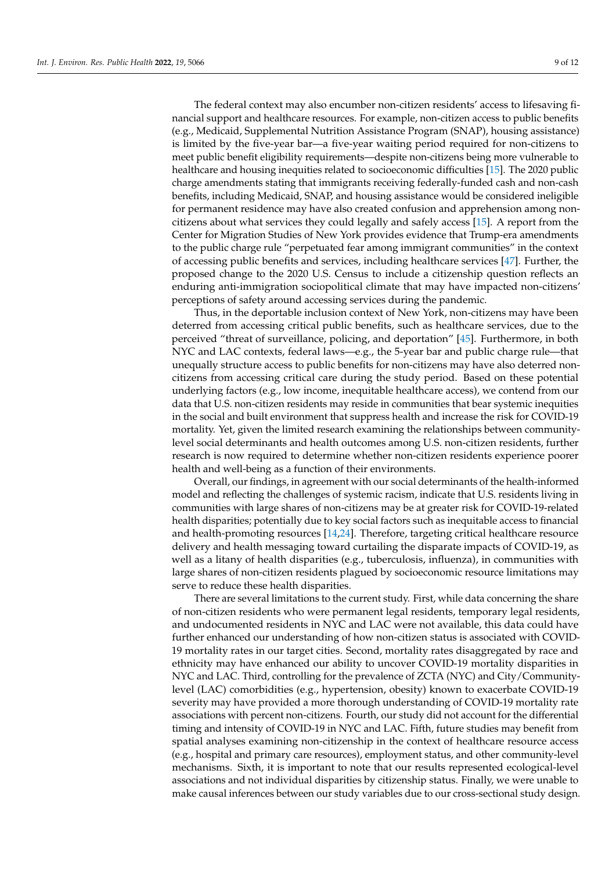The federal context may also encumber non-citizen residents' access to lifesaving financial support and healthcare resources. For example, non-citizen access to public benefits (e.g., Medicaid, Supplemental Nutrition Assistance Program (SNAP), housing assistance) is limited by the five-year bar—a five-year waiting period required for non-citizens to meet public benefit eligibility requirements—despite non-citizens being more vulnerable to healthcare and housing inequities related to socioeconomic difficulties [\[15\]](#page-12-5). The 2020 public charge amendments stating that immigrants receiving federally-funded cash and non-cash benefits, including Medicaid, SNAP, and housing assistance would be considered ineligible for permanent residence may have also created confusion and apprehension among noncitizens about what services they could legally and safely access [\[15\]](#page-12-5). A report from the Center for Migration Studies of New York provides evidence that Trump-era amendments to the public charge rule "perpetuated fear among immigrant communities" in the context of accessing public benefits and services, including healthcare services [\[47\]](#page-13-10). Further, the proposed change to the 2020 U.S. Census to include a citizenship question reflects an enduring anti-immigration sociopolitical climate that may have impacted non-citizens' perceptions of safety around accessing services during the pandemic.

Thus, in the deportable inclusion context of New York, non-citizens may have been deterred from accessing critical public benefits, such as healthcare services, due to the perceived "threat of surveillance, policing, and deportation" [\[45\]](#page-13-8). Furthermore, in both NYC and LAC contexts, federal laws—e.g., the 5-year bar and public charge rule—that unequally structure access to public benefits for non-citizens may have also deterred noncitizens from accessing critical care during the study period. Based on these potential underlying factors (e.g., low income, inequitable healthcare access), we contend from our data that U.S. non-citizen residents may reside in communities that bear systemic inequities in the social and built environment that suppress health and increase the risk for COVID-19 mortality. Yet, given the limited research examining the relationships between communitylevel social determinants and health outcomes among U.S. non-citizen residents, further research is now required to determine whether non-citizen residents experience poorer health and well-being as a function of their environments.

Overall, our findings, in agreement with our social determinants of the health-informed model and reflecting the challenges of systemic racism, indicate that U.S. residents living in communities with large shares of non-citizens may be at greater risk for COVID-19-related health disparities; potentially due to key social factors such as inequitable access to financial and health-promoting resources [\[14,](#page-12-4)[24\]](#page-12-13). Therefore, targeting critical healthcare resource delivery and health messaging toward curtailing the disparate impacts of COVID-19, as well as a litany of health disparities (e.g., tuberculosis, influenza), in communities with large shares of non-citizen residents plagued by socioeconomic resource limitations may serve to reduce these health disparities.

There are several limitations to the current study. First, while data concerning the share of non-citizen residents who were permanent legal residents, temporary legal residents, and undocumented residents in NYC and LAC were not available, this data could have further enhanced our understanding of how non-citizen status is associated with COVID-19 mortality rates in our target cities. Second, mortality rates disaggregated by race and ethnicity may have enhanced our ability to uncover COVID-19 mortality disparities in NYC and LAC. Third, controlling for the prevalence of ZCTA (NYC) and City/Communitylevel (LAC) comorbidities (e.g., hypertension, obesity) known to exacerbate COVID-19 severity may have provided a more thorough understanding of COVID-19 mortality rate associations with percent non-citizens. Fourth, our study did not account for the differential timing and intensity of COVID-19 in NYC and LAC. Fifth, future studies may benefit from spatial analyses examining non-citizenship in the context of healthcare resource access (e.g., hospital and primary care resources), employment status, and other community-level mechanisms. Sixth, it is important to note that our results represented ecological-level associations and not individual disparities by citizenship status. Finally, we were unable to make causal inferences between our study variables due to our cross-sectional study design.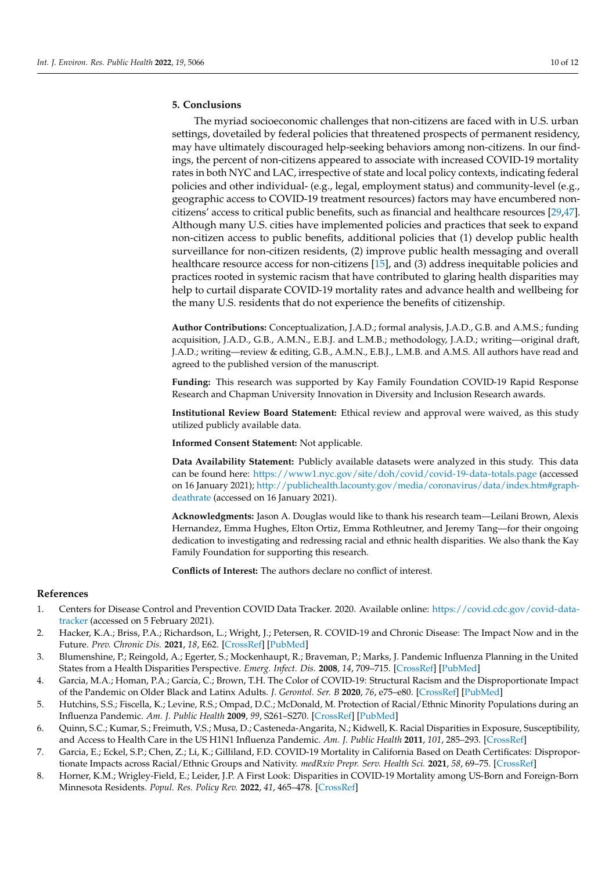#### **5. Conclusions**

The myriad socioeconomic challenges that non-citizens are faced with in U.S. urban settings, dovetailed by federal policies that threatened prospects of permanent residency, may have ultimately discouraged help-seeking behaviors among non-citizens. In our findings, the percent of non-citizens appeared to associate with increased COVID-19 mortality rates in both NYC and LAC, irrespective of state and local policy contexts, indicating federal policies and other individual- (e.g., legal, employment status) and community-level (e.g., geographic access to COVID-19 treatment resources) factors may have encumbered noncitizens' access to critical public benefits, such as financial and healthcare resources [\[29](#page-12-25)[,47\]](#page-13-10). Although many U.S. cities have implemented policies and practices that seek to expand non-citizen access to public benefits, additional policies that (1) develop public health surveillance for non-citizen residents, (2) improve public health messaging and overall healthcare resource access for non-citizens [\[15\]](#page-12-5), and (3) address inequitable policies and practices rooted in systemic racism that have contributed to glaring health disparities may help to curtail disparate COVID-19 mortality rates and advance health and wellbeing for the many U.S. residents that do not experience the benefits of citizenship.

**Author Contributions:** Conceptualization, J.A.D.; formal analysis, J.A.D., G.B. and A.M.S.; funding acquisition, J.A.D., G.B., A.M.N., E.B.J. and L.M.B.; methodology, J.A.D.; writing—original draft, J.A.D.; writing—review & editing, G.B., A.M.N., E.B.J., L.M.B. and A.M.S. All authors have read and agreed to the published version of the manuscript.

**Funding:** This research was supported by Kay Family Foundation COVID-19 Rapid Response Research and Chapman University Innovation in Diversity and Inclusion Research awards.

**Institutional Review Board Statement:** Ethical review and approval were waived, as this study utilized publicly available data.

**Informed Consent Statement:** Not applicable.

**Data Availability Statement:** Publicly available datasets were analyzed in this study. This data can be found here: <https://www1.nyc.gov/site/doh/covid/covid-19-data-totals.page> (accessed on 16 January 2021); [http://publichealth.lacounty.gov/media/coronavirus/data/index.htm#graph](http://publichealth.lacounty.gov/media/coronavirus/data/index.htm#graph-deathrate)[deathrate](http://publichealth.lacounty.gov/media/coronavirus/data/index.htm#graph-deathrate) (accessed on 16 January 2021).

**Acknowledgments:** Jason A. Douglas would like to thank his research team—Leilani Brown, Alexis Hernandez, Emma Hughes, Elton Ortiz, Emma Rothleutner, and Jeremy Tang—for their ongoing dedication to investigating and redressing racial and ethnic health disparities. We also thank the Kay Family Foundation for supporting this research.

**Conflicts of Interest:** The authors declare no conflict of interest.

#### **References**

- <span id="page-11-0"></span>1. Centers for Disease Control and Prevention COVID Data Tracker. 2020. Available online: [https://covid.cdc.gov/covid-data](https://covid.cdc.gov/covid-data-tracker)[tracker](https://covid.cdc.gov/covid-data-tracker) (accessed on 5 February 2021).
- <span id="page-11-1"></span>2. Hacker, K.A.; Briss, P.A.; Richardson, L.; Wright, J.; Petersen, R. COVID-19 and Chronic Disease: The Impact Now and in the Future. *Prev. Chronic Dis.* **2021**, *18*, E62. [\[CrossRef\]](http://doi.org/10.5888/pcd18.210086) [\[PubMed\]](http://www.ncbi.nlm.nih.gov/pubmed/34138696)
- <span id="page-11-2"></span>3. Blumenshine, P.; Reingold, A.; Egerter, S.; Mockenhaupt, R.; Braveman, P.; Marks, J. Pandemic Influenza Planning in the United States from a Health Disparities Perspective. *Emerg. Infect. Dis.* **2008**, *14*, 709–715. [\[CrossRef\]](http://doi.org/10.3201/eid1405.071301) [\[PubMed\]](http://www.ncbi.nlm.nih.gov/pubmed/18439350)
- <span id="page-11-3"></span>4. Garcia, M.A.; Homan, P.A.; García, C.; Brown, T.H. The Color of COVID-19: Structural Racism and the Disproportionate Impact of the Pandemic on Older Black and Latinx Adults. *J. Gerontol. Ser. B* **2020**, *76*, e75–e80. [\[CrossRef\]](http://doi.org/10.1093/geronb/gbaa114) [\[PubMed\]](http://www.ncbi.nlm.nih.gov/pubmed/32756973)
- <span id="page-11-4"></span>5. Hutchins, S.S.; Fiscella, K.; Levine, R.S.; Ompad, D.C.; McDonald, M. Protection of Racial/Ethnic Minority Populations during an Influenza Pandemic. *Am. J. Public Health* **2009**, *99*, S261–S270. [\[CrossRef\]](http://doi.org/10.2105/AJPH.2009.161505) [\[PubMed\]](http://www.ncbi.nlm.nih.gov/pubmed/19797739)
- <span id="page-11-5"></span>6. Quinn, S.C.; Kumar, S.; Freimuth, V.S.; Musa, D.; Casteneda-Angarita, N.; Kidwell, K. Racial Disparities in Exposure, Susceptibility, and Access to Health Care in the US H1N1 Influenza Pandemic. *Am. J. Public Health* **2011**, *101*, 285–293. [\[CrossRef\]](http://doi.org/10.2105/AJPH.2009.188029)
- <span id="page-11-6"></span>7. Garcia, E.; Eckel, S.P.; Chen, Z.; Li, K.; Gilliland, F.D. COVID-19 Mortality in California Based on Death Certificates: Disproportionate Impacts across Racial/Ethnic Groups and Nativity. *medRxiv Prepr. Serv. Health Sci.* **2021**, *58*, 69–75. [\[CrossRef\]](http://doi.org/10.1016/j.annepidem.2021.03.006)
- <span id="page-11-7"></span>8. Horner, K.M.; Wrigley-Field, E.; Leider, J.P. A First Look: Disparities in COVID-19 Mortality among US-Born and Foreign-Born Minnesota Residents. *Popul. Res. Policy Rev.* **2022**, *41*, 465–478. [\[CrossRef\]](http://doi.org/10.1007/s11113-021-09668-1)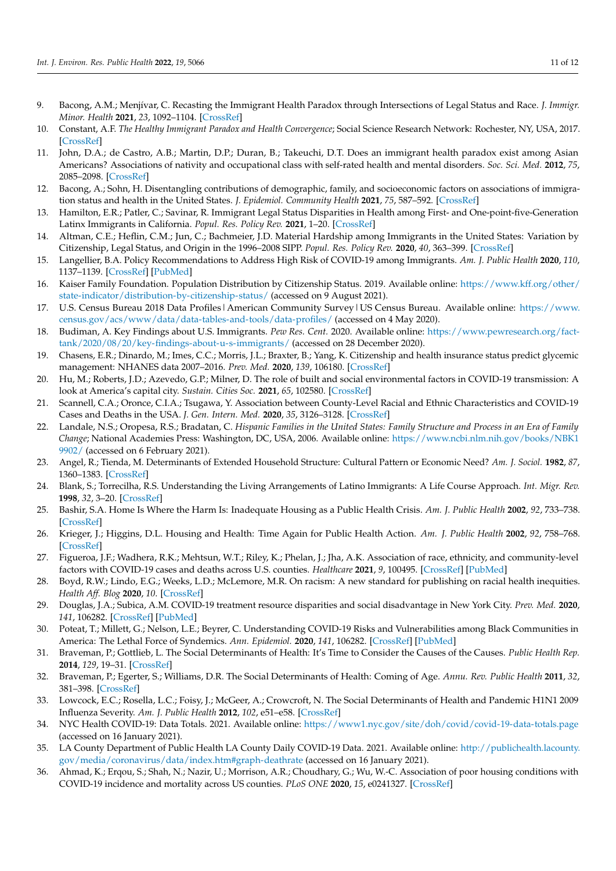- <span id="page-12-0"></span>9. Bacong, A.M.; Menjívar, C. Recasting the Immigrant Health Paradox through Intersections of Legal Status and Race. *J. Immigr. Minor. Health* **2021**, *23*, 1092–1104. [\[CrossRef\]](http://doi.org/10.1007/s10903-021-01162-2)
- 10. Constant, A.F. *The Healthy Immigrant Paradox and Health Convergence*; Social Science Research Network: Rochester, NY, USA, 2017. [\[CrossRef\]](http://doi.org/10.2139/ssrn.3074307)
- <span id="page-12-1"></span>11. John, D.A.; de Castro, A.B.; Martin, D.P.; Duran, B.; Takeuchi, D.T. Does an immigrant health paradox exist among Asian Americans? Associations of nativity and occupational class with self-rated health and mental disorders. *Soc. Sci. Med.* **2012**, *75*, 2085–2098. [\[CrossRef\]](http://doi.org/10.1016/j.socscimed.2012.01.035)
- <span id="page-12-2"></span>12. Bacong, A.; Sohn, H. Disentangling contributions of demographic, family, and socioeconomic factors on associations of immigration status and health in the United States. *J. Epidemiol. Community Health* **2021**, *75*, 587–592. [\[CrossRef\]](http://doi.org/10.1136/jech-2020-214245)
- <span id="page-12-3"></span>13. Hamilton, E.R.; Patler, C.; Savinar, R. Immigrant Legal Status Disparities in Health among First- and One-point-five-Generation Latinx Immigrants in California. *Popul. Res. Policy Rev.* **2021**, 1–20. [\[CrossRef\]](http://doi.org/10.1007/s11113-021-09689-w)
- <span id="page-12-4"></span>14. Altman, C.E.; Heflin, C.M.; Jun, C.; Bachmeier, J.D. Material Hardship among Immigrants in the United States: Variation by Citizenship, Legal Status, and Origin in the 1996–2008 SIPP. *Popul. Res. Policy Rev.* **2020**, *40*, 363–399. [\[CrossRef\]](http://doi.org/10.1007/s11113-020-09588-6)
- <span id="page-12-5"></span>15. Langellier, B.A. Policy Recommendations to Address High Risk of COVID-19 among Immigrants. *Am. J. Public Health* **2020**, *110*, 1137–1139. [\[CrossRef\]](http://doi.org/10.2105/AJPH.2020.305792) [\[PubMed\]](http://www.ncbi.nlm.nih.gov/pubmed/32584591)
- <span id="page-12-6"></span>16. Kaiser Family Foundation. Population Distribution by Citizenship Status. 2019. Available online: [https://www.kff.org/other/](https://www.kff.org/other/state-indicator/distribution-by-citizenship-status/) [state-indicator/distribution-by-citizenship-status/](https://www.kff.org/other/state-indicator/distribution-by-citizenship-status/) (accessed on 9 August 2021).
- <span id="page-12-7"></span>17. U.S. Census Bureau 2018 Data Profiles | American Community Survey | US Census Bureau. Available online: [https://www.](https://www.census.gov/acs/www/data/data-tables-and-tools/data-profiles/) [census.gov/acs/www/data/data-tables-and-tools/data-profiles/](https://www.census.gov/acs/www/data/data-tables-and-tools/data-profiles/) (accessed on 4 May 2020).
- <span id="page-12-8"></span>18. Budiman, A. Key Findings about U.S. Immigrants. *Pew Res. Cent.* 2020. Available online: [https://www.pewresearch.org/fact](https://www.pewresearch.org/fact-tank/2020/08/20/key-findings-about-u-s-immigrants/)[tank/2020/08/20/key-findings-about-u-s-immigrants/](https://www.pewresearch.org/fact-tank/2020/08/20/key-findings-about-u-s-immigrants/) (accessed on 28 December 2020).
- <span id="page-12-9"></span>19. Chasens, E.R.; Dinardo, M.; Imes, C.C.; Morris, J.L.; Braxter, B.; Yang, K. Citizenship and health insurance status predict glycemic management: NHANES data 2007–2016. *Prev. Med.* **2020**, *139*, 106180. [\[CrossRef\]](http://doi.org/10.1016/j.ypmed.2020.106180)
- <span id="page-12-10"></span>20. Hu, M.; Roberts, J.D.; Azevedo, G.P.; Milner, D. The role of built and social environmental factors in COVID-19 transmission: A look at America's capital city. *Sustain. Cities Soc.* **2021**, *65*, 102580. [\[CrossRef\]](http://doi.org/10.1016/j.scs.2020.102580)
- <span id="page-12-11"></span>21. Scannell, C.A.; Oronce, C.I.A.; Tsugawa, Y. Association between County-Level Racial and Ethnic Characteristics and COVID-19 Cases and Deaths in the USA. *J. Gen. Intern. Med.* **2020**, *35*, 3126–3128. [\[CrossRef\]](http://doi.org/10.1007/s11606-020-06083-8)
- <span id="page-12-12"></span>22. Landale, N.S.; Oropesa, R.S.; Bradatan, C. *Hispanic Families in the United States: Family Structure and Process in an Era of Family Change*; National Academies Press: Washington, DC, USA, 2006. Available online: [https://www.ncbi.nlm.nih.gov/books/NBK1](https://www.ncbi.nlm.nih.gov/books/NBK19902/) [9902/](https://www.ncbi.nlm.nih.gov/books/NBK19902/) (accessed on 6 February 2021).
- <span id="page-12-26"></span>23. Angel, R.; Tienda, M. Determinants of Extended Household Structure: Cultural Pattern or Economic Need? *Am. J. Sociol.* **1982**, *87*, 1360–1383. [\[CrossRef\]](http://doi.org/10.1086/227597)
- <span id="page-12-13"></span>24. Blank, S.; Torrecilha, R.S. Understanding the Living Arrangements of Latino Immigrants: A Life Course Approach. *Int. Migr. Rev.* **1998**, *32*, 3–20. [\[CrossRef\]](http://doi.org/10.1177/019791839803200101)
- <span id="page-12-14"></span>25. Bashir, S.A. Home Is Where the Harm Is: Inadequate Housing as a Public Health Crisis. *Am. J. Public Health* **2002**, *92*, 733–738. [\[CrossRef\]](http://doi.org/10.2105/AJPH.92.5.733)
- <span id="page-12-15"></span>26. Krieger, J.; Higgins, D.L. Housing and Health: Time Again for Public Health Action. *Am. J. Public Health* **2002**, *92*, 758–768. [\[CrossRef\]](http://doi.org/10.2105/AJPH.92.5.758)
- <span id="page-12-16"></span>27. Figueroa, J.F.; Wadhera, R.K.; Mehtsun, W.T.; Riley, K.; Phelan, J.; Jha, A.K. Association of race, ethnicity, and community-level factors with COVID-19 cases and deaths across U.S. counties. *Healthcare* **2021**, *9*, 100495. [\[CrossRef\]](http://doi.org/10.1016/j.hjdsi.2020.100495) [\[PubMed\]](http://www.ncbi.nlm.nih.gov/pubmed/33285500)
- <span id="page-12-17"></span>28. Boyd, R.W.; Lindo, E.G.; Weeks, L.D.; McLemore, M.R. On racism: A new standard for publishing on racial health inequities. *Health Aff. Blog* **2020**, *10*. [\[CrossRef\]](http://doi.org/10.1377/forefront.20200630.939347)
- <span id="page-12-25"></span>29. Douglas, J.A.; Subica, A.M. COVID-19 treatment resource disparities and social disadvantage in New York City. *Prev. Med.* **2020**, *141*, 106282. [\[CrossRef\]](http://doi.org/10.1016/j.ypmed.2020.106282) [\[PubMed\]](http://www.ncbi.nlm.nih.gov/pubmed/33035550)
- <span id="page-12-18"></span>30. Poteat, T.; Millett, G.; Nelson, L.E.; Beyrer, C. Understanding COVID-19 Risks and Vulnerabilities among Black Communities in America: The Lethal Force of Syndemics. *Ann. Epidemiol.* **2020**, *141*, 106282. [\[CrossRef\]](http://doi.org/10.1016/j.annepidem.2020.05.004) [\[PubMed\]](http://www.ncbi.nlm.nih.gov/pubmed/32419765)
- <span id="page-12-19"></span>31. Braveman, P.; Gottlieb, L. The Social Determinants of Health: It's Time to Consider the Causes of the Causes. *Public Health Rep.* **2014**, *129*, 19–31. [\[CrossRef\]](http://doi.org/10.1177/00333549141291S206)
- <span id="page-12-21"></span>32. Braveman, P.; Egerter, S.; Williams, D.R. The Social Determinants of Health: Coming of Age. *Annu. Rev. Public Health* **2011**, *32*, 381–398. [\[CrossRef\]](http://doi.org/10.1146/annurev-publhealth-031210-101218)
- <span id="page-12-20"></span>33. Lowcock, E.C.; Rosella, L.C.; Foisy, J.; McGeer, A.; Crowcroft, N. The Social Determinants of Health and Pandemic H1N1 2009 Influenza Severity. *Am. J. Public Health* **2012**, *102*, e51–e58. [\[CrossRef\]](http://doi.org/10.2105/AJPH.2012.300814)
- <span id="page-12-22"></span>34. NYC Health COVID-19: Data Totals. 2021. Available online: <https://www1.nyc.gov/site/doh/covid/covid-19-data-totals.page> (accessed on 16 January 2021).
- <span id="page-12-23"></span>35. LA County Department of Public Health LA County Daily COVID-19 Data. 2021. Available online: [http://publichealth.lacounty.](http://publichealth.lacounty.gov/media/coronavirus/data/index.htm#graph-deathrate) [gov/media/coronavirus/data/index.htm#graph-deathrate](http://publichealth.lacounty.gov/media/coronavirus/data/index.htm#graph-deathrate) (accessed on 16 January 2021).
- <span id="page-12-24"></span>36. Ahmad, K.; Erqou, S.; Shah, N.; Nazir, U.; Morrison, A.R.; Choudhary, G.; Wu, W.-C. Association of poor housing conditions with COVID-19 incidence and mortality across US counties. *PLoS ONE* **2020**, *15*, e0241327. [\[CrossRef\]](http://doi.org/10.1371/journal.pone.0241327)